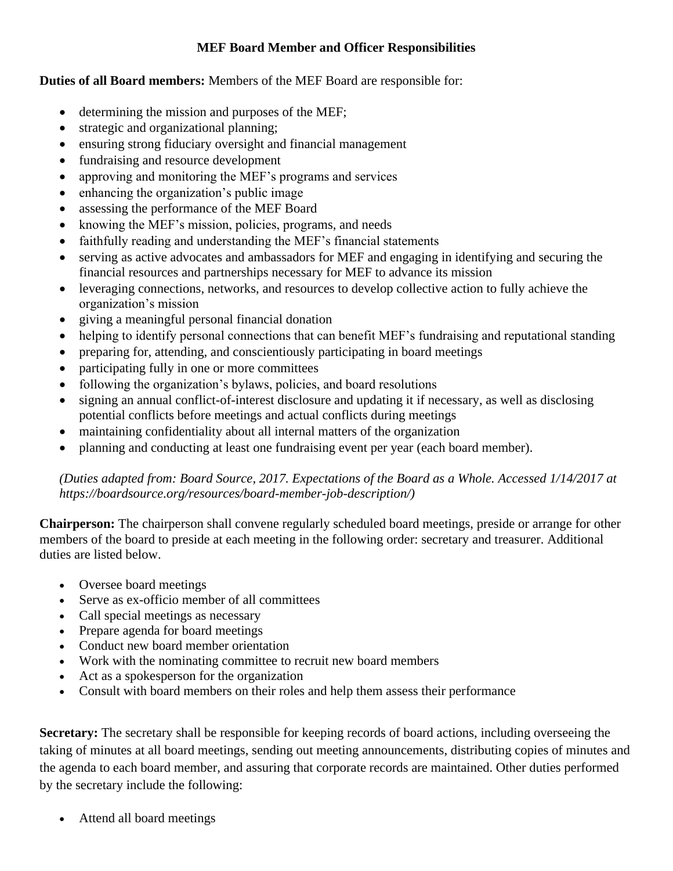## **MEF Board Member and Officer Responsibilities**

## **Duties of all Board members:** Members of the MEF Board are responsible for:

- determining the mission and purposes of the MEF;
- strategic and organizational planning;
- ensuring strong fiduciary oversight and financial management
- fundraising and resource development
- approving and monitoring the MEF's programs and services
- enhancing the organization's public image
- assessing the performance of the MEF Board
- knowing the MEF's mission, policies, programs, and needs
- faithfully reading and understanding the MEF's financial statements
- serving as active advocates and ambassadors for MEF and engaging in identifying and securing the financial resources and partnerships necessary for MEF to advance its mission
- leveraging connections, networks, and resources to develop collective action to fully achieve the organization's mission
- giving a meaningful personal financial donation
- helping to identify personal connections that can benefit MEF's fundraising and reputational standing
- preparing for, attending, and conscientiously participating in board meetings
- participating fully in one or more committees
- following the organization's bylaws, policies, and board resolutions
- signing an annual conflict-of-interest disclosure and updating it if necessary, as well as disclosing potential conflicts before meetings and actual conflicts during meetings
- maintaining confidentiality about all internal matters of the organization
- planning and conducting at least one fundraising event per year (each board member).

*(Duties adapted from: Board Source, 2017. Expectations of the Board as a Whole. Accessed 1/14/2017 at https://boardsource.org/resources/board-member-job-description/)*

**Chairperson:** The chairperson shall convene regularly scheduled board meetings, preside or arrange for other members of the board to preside at each meeting in the following order: secretary and treasurer. Additional duties are listed below.

- Oversee board meetings
- Serve as ex-officio member of all committees
- Call special meetings as necessary
- Prepare agenda for board meetings
- Conduct new board member orientation
- Work with the nominating committee to recruit new board members
- Act as a spokesperson for the organization
- Consult with board members on their roles and help them assess their performance

**Secretary:** The secretary shall be responsible for keeping records of board actions, including overseeing the taking of minutes at all board meetings, sending out meeting announcements, distributing copies of minutes and the agenda to each board member, and assuring that corporate records are maintained. Other duties performed by the secretary include the following:

• Attend all board meetings